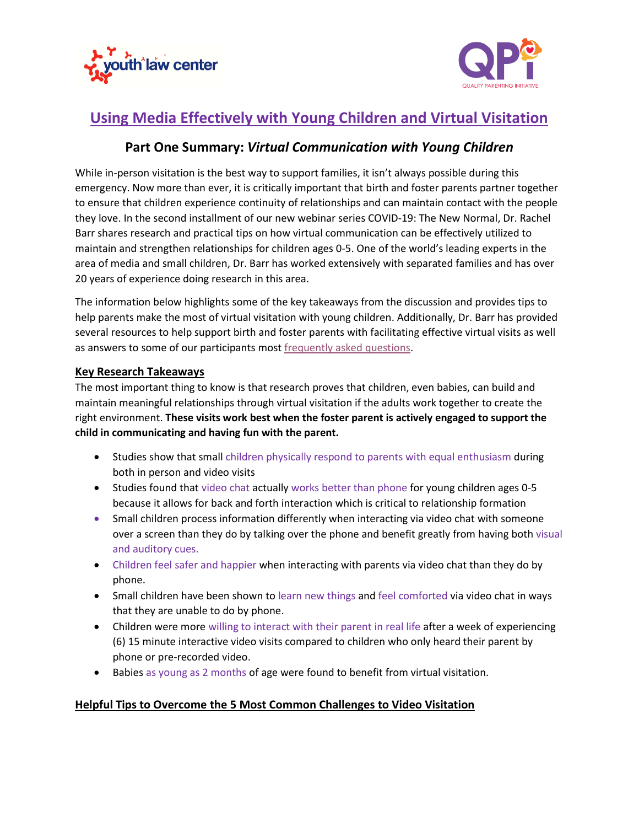



## **Using Media Effectively with Young Children and Virtual Visitation**

## **Part One Summary:** *Virtual Communication with Young Children*

While in-person visitation is the best way to support families, it isn't always possible during this emergency. Now more than ever, it is critically important that birth and foster parents partner together to ensure that children experience continuity of relationships and can maintain contact with the people they love. In the second installment of our new webinar series COVID-19: The New Normal, Dr. Rachel Barr shares research and practical tips on how virtual communication can be effectively utilized to maintain and strengthen relationships for children ages 0-5. One of the world's leading experts in the area of media and small children, Dr. Barr has worked extensively with separated families and has over 20 years of experience doing research in this area.

The information below highlights some of the key takeaways from the discussion and provides tips to help parents make the most of virtual visitation with young children. Additionally, Dr. Barr has provided several resources to help support birth and foster parents with facilitating effective virtual visits as well as answers to some of our participants mos[t frequently asked questions.](Dropbox.lnk)

## **Key Research Takeaways**

The most important thing to know is that research proves that children, even babies, can build and maintain meaningful relationships through virtual visitation if the adults work together to create the right environment. **These visits work best when the foster parent is actively engaged to support the child in communicating and having fun with the parent.**

- Studies show that small children physically respond to parents with equal enthusiasm during both in person and video visits
- Studies found that video chat actually works better than phone for young children ages 0-5 because it allows for back and forth interaction which is critical to relationship formation
- Small children process information differently when interacting via video chat with someone over a screen than they do by talking over the phone and benefit greatly from having both visual and auditory cues.
- Children feel safer and happier when interacting with parents via video chat than they do by phone.
- Small children have been shown to learn new things and feel comforted via video chat in ways that they are unable to do by phone.
- Children were more willing to interact with their parent in real life after a week of experiencing (6) 15 minute interactive video visits compared to children who only heard their parent by phone or pre-recorded video.
- Babies as young as 2 months of age were found to benefit from virtual visitation.

## **Helpful Tips to Overcome the 5 Most Common Challenges to Video Visitation**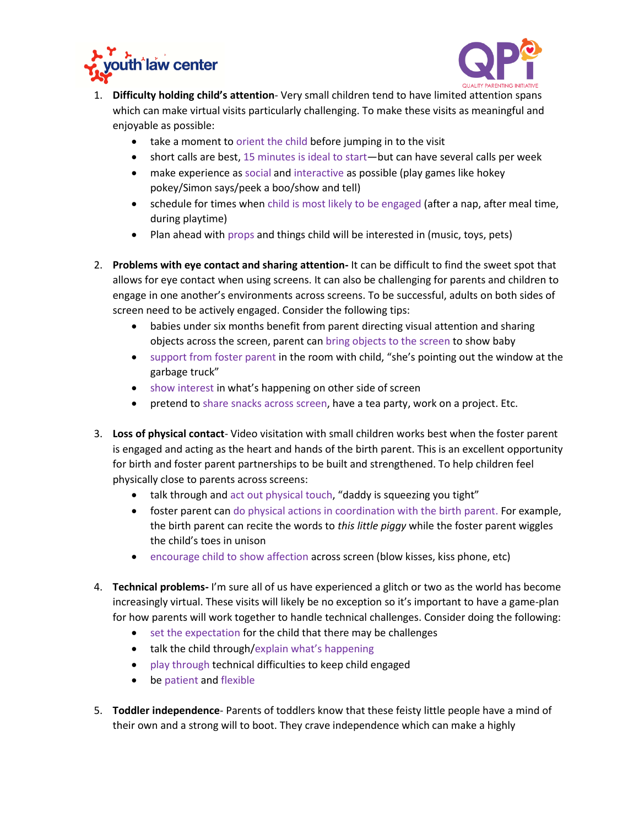



- 1. **Difficulty holding child's attention** Very small children tend to have limited attention spans which can make virtual visits particularly challenging. To make these visits as meaningful and enjoyable as possible:
	- take a moment to orient the child before jumping in to the visit
	- short calls are best, 15 minutes is ideal to start—but can have several calls per week
	- make experience as social and interactive as possible (play games like hokey pokey/Simon says/peek a boo/show and tell)
	- schedule for times when child is most likely to be engaged (after a nap, after meal time, during playtime)
	- Plan ahead with props and things child will be interested in (music, toys, pets)
- 2. **Problems with eye contact and sharing attention-** It can be difficult to find the sweet spot that allows for eye contact when using screens. It can also be challenging for parents and children to engage in one another's environments across screens. To be successful, adults on both sides of screen need to be actively engaged. Consider the following tips:
	- babies under six months benefit from parent directing visual attention and sharing objects across the screen, parent can bring objects to the screen to show baby
	- support from foster parent in the room with child, "she's pointing out the window at the garbage truck"
	- show interest in what's happening on other side of screen
	- pretend to share snacks across screen, have a tea party, work on a project. Etc.
- 3. **Loss of physical contact** Video visitation with small children works best when the foster parent is engaged and acting as the heart and hands of the birth parent. This is an excellent opportunity for birth and foster parent partnerships to be built and strengthened. To help children feel physically close to parents across screens:
	- talk through and act out physical touch, "daddy is squeezing you tight"
	- foster parent can do physical actions in coordination with the birth parent. For example, the birth parent can recite the words to *this little piggy* while the foster parent wiggles the child's toes in unison
	- encourage child to show affection across screen (blow kisses, kiss phone, etc)
- 4. **Technical problems-** I'm sure all of us have experienced a glitch or two as the world has become increasingly virtual. These visits will likely be no exception so it's important to have a game-plan for how parents will work together to handle technical challenges. Consider doing the following:
	- set the expectation for the child that there may be challenges
	- talk the child through/explain what's happening
	- play through technical difficulties to keep child engaged
	- be patient and flexible
- 5. **Toddler independence** Parents of toddlers know that these feisty little people have a mind of their own and a strong will to boot. They crave independence which can make a highly